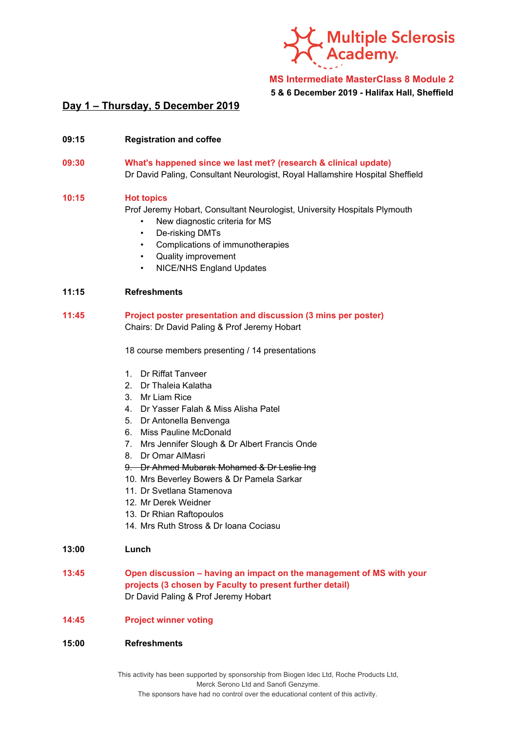

**MS Intermediate MasterClass 8 Module 2**

**5 & 6 December 2019 - Halifax Hall, Sheffield**

# **Day 1 – Thursday, 5 December 2019**

- **09:15 Registration and coffee**
- **09:30 What's happened since we last met? (research & clinical update)** Dr David Paling, Consultant Neurologist, Royal Hallamshire Hospital Sheffield

#### **10:15 Hot topics**

Prof Jeremy Hobart, Consultant Neurologist, University Hospitals Plymouth

- New diagnostic criteria for MS
- De-risking DMTs
- Complications of immunotherapies
- Quality improvement
- NICE/NHS England Updates

### **11:15 Refreshments**

**11:45 Project poster presentation and discussion (3 mins per poster)** Chairs: Dr David Paling & Prof Jeremy Hobart

18 course members presenting / 14 presentations

- 1. Dr Riffat Tanveer
- 2. Dr Thaleia Kalatha
- 3. Mr Liam Rice
- 4. Dr Yasser Falah & Miss Alisha Patel
- 5. Dr Antonella Benvenga
- 6. Miss Pauline McDonald
- 7. Mrs Jennifer Slough & Dr Albert Francis Onde
- 8. Dr Omar AlMasri
- 9. Dr Ahmed Mubarak Mohamed & Dr Leslie Ing
- 10. Mrs Beverley Bowers & Dr Pamela Sarkar
- 11. Dr Svetlana Stamenova
- 12. Mr Derek Weidner
- 13. Dr Rhian Raftopoulos
- 14. Mrs Ruth Stross & Dr Ioana Cociasu

#### **13:00 Lunch**

**13:45 Open discussion – having an impact on the management of MS with your projects (3 chosen by Faculty to present further detail)** Dr David Paling & Prof Jeremy Hobart

## **14:45 Project winner voting**

### **15:00 Refreshments**

This activity has been supported by sponsorship from Biogen Idec Ltd, Roche Products Ltd, Merck Serono Ltd and Sanofi Genzyme. The sponsors have had no control over the educational content of this activity.